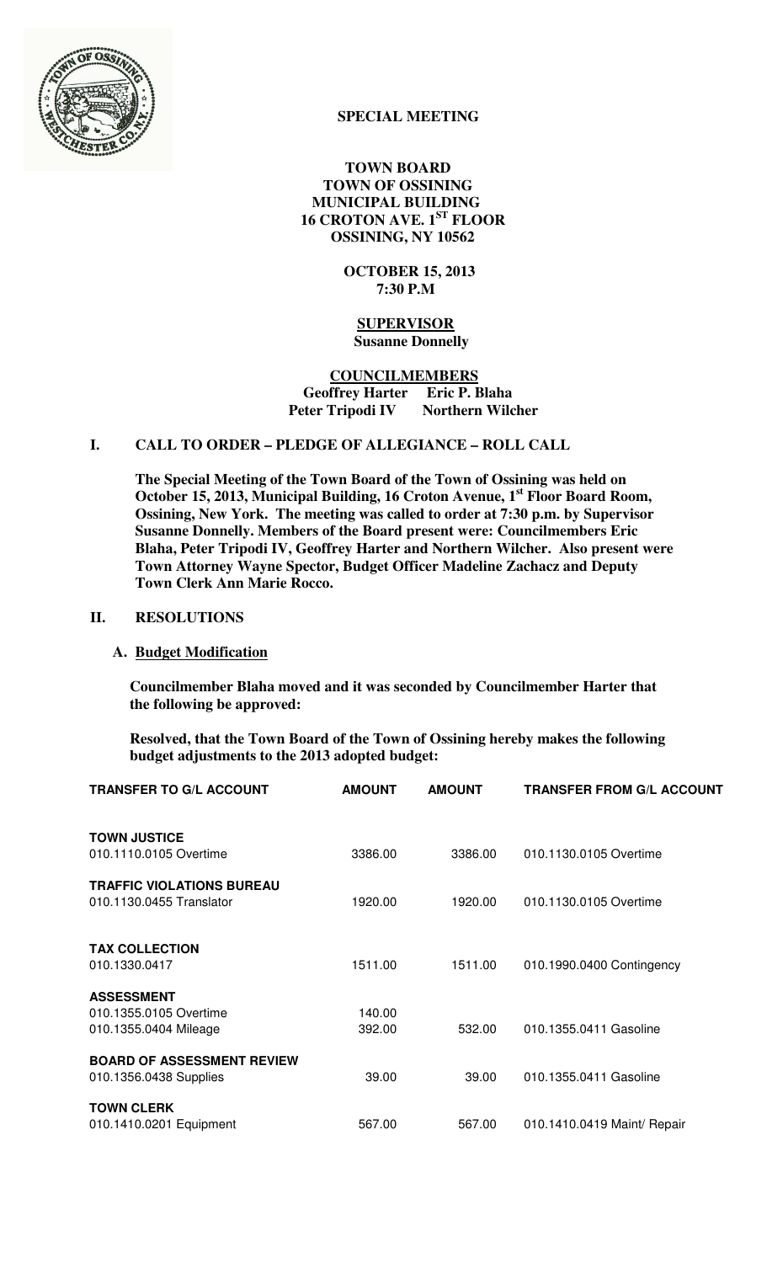

# **SPECIAL MEETING**

 **TOWN BOARD TOWN OF OSSINING MUNICIPAL BUILDING 16 CROTON AVE. 1ST FLOOR OSSINING, NY 10562** 

> **OCTOBER 15, 2013 7:30 P.M**

 **SUPERVISOR Susanne Donnelly** 

 **COUNCILMEMBERS Geoffrey Harter Eric P. Blaha Peter Tripodi IV** 

# **I. CALL TO ORDER – PLEDGE OF ALLEGIANCE – ROLL CALL**

**The Special Meeting of the Town Board of the Town of Ossining was held on October 15, 2013, Municipal Building, 16 Croton Avenue, 1st Floor Board Room, Ossining, New York. The meeting was called to order at 7:30 p.m. by Supervisor Susanne Donnelly. Members of the Board present were: Councilmembers Eric Blaha, Peter Tripodi IV, Geoffrey Harter and Northern Wilcher. Also present were Town Attorney Wayne Spector, Budget Officer Madeline Zachacz and Deputy Town Clerk Ann Marie Rocco.** 

## **II. RESOLUTIONS**

## **A. Budget Modification**

**Councilmember Blaha moved and it was seconded by Councilmember Harter that the following be approved:** 

**Resolved, that the Town Board of the Town of Ossining hereby makes the following budget adjustments to the 2013 adopted budget:** 

| <b>TRANSFER TO G/L ACCOUNT</b>    | <b>AMOUNT</b> | <b>AMOUNT</b> | <b>TRANSFER FROM G/L ACCOUNT</b> |
|-----------------------------------|---------------|---------------|----------------------------------|
| <b>TOWN JUSTICE</b>               |               |               |                                  |
| 010.1110.0105 Overtime            | 3386.00       | 3386.00       | 010.1130.0105 Overtime           |
| <b>TRAFFIC VIOLATIONS BUREAU</b>  |               |               |                                  |
| 010.1130.0455 Translator          | 1920.00       | 1920.00       | 010.1130.0105 Overtime           |
|                                   |               |               |                                  |
| <b>TAX COLLECTION</b>             |               |               |                                  |
| 010.1330.0417                     | 1511.00       | 1511.00       | 010.1990.0400 Contingency        |
| <b>ASSESSMENT</b>                 |               |               |                                  |
| 010.1355.0105 Overtime            | 140.00        |               |                                  |
| 010.1355.0404 Mileage             | 392.00        | 532.00        | 010.1355.0411 Gasoline           |
| <b>BOARD OF ASSESSMENT REVIEW</b> |               |               |                                  |
| 010.1356.0438 Supplies            | 39.00         | 39.00         | 010.1355.0411 Gasoline           |
| <b>TOWN CLERK</b>                 |               |               |                                  |
| 010.1410.0201 Equipment           | 567.00        | 567.00        | 010.1410.0419 Maint/ Repair      |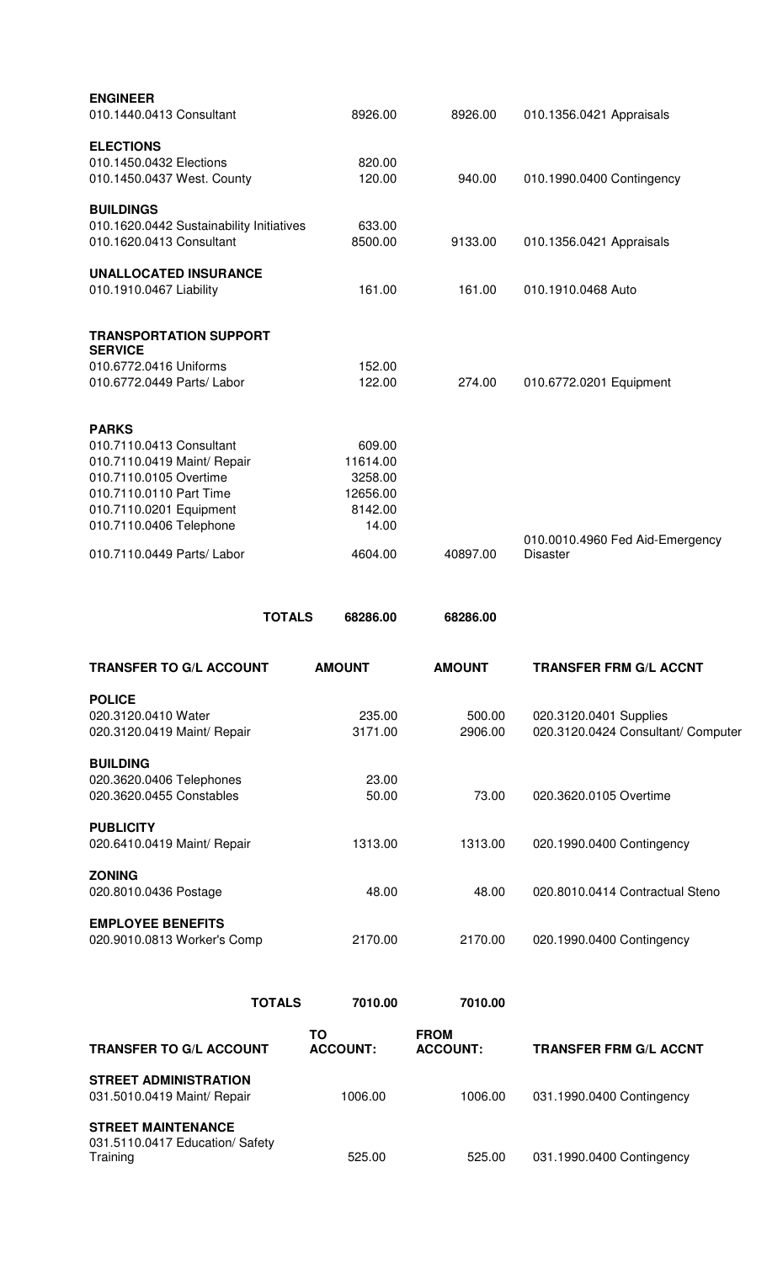| <b>ENGINEER</b><br>010.1440.0413 Consultant |               | 8926.00       | 8926.00       | 010.1356.0421 Appraisals           |
|---------------------------------------------|---------------|---------------|---------------|------------------------------------|
|                                             |               |               |               |                                    |
| <b>ELECTIONS</b>                            |               |               |               |                                    |
| 010.1450.0432 Elections                     |               | 820.00        |               |                                    |
| 010.1450.0437 West. County                  |               | 120.00        | 940.00        | 010.1990.0400 Contingency          |
|                                             |               |               |               |                                    |
| <b>BUILDINGS</b>                            |               |               |               |                                    |
| 010.1620.0442 Sustainability Initiatives    |               | 633.00        |               |                                    |
| 010.1620.0413 Consultant                    |               | 8500.00       | 9133.00       | 010.1356.0421 Appraisals           |
|                                             |               |               |               |                                    |
| <b>UNALLOCATED INSURANCE</b>                |               | 161.00        | 161.00        |                                    |
| 010.1910.0467 Liability                     |               |               |               | 010.1910.0468 Auto                 |
| <b>TRANSPORTATION SUPPORT</b>               |               |               |               |                                    |
| <b>SERVICE</b>                              |               |               |               |                                    |
| 010.6772.0416 Uniforms                      |               | 152.00        |               |                                    |
| 010.6772.0449 Parts/ Labor                  |               | 122.00        | 274.00        | 010.6772.0201 Equipment            |
|                                             |               |               |               |                                    |
|                                             |               |               |               |                                    |
| <b>PARKS</b>                                |               |               |               |                                    |
| 010.7110.0413 Consultant                    |               | 609.00        |               |                                    |
| 010.7110.0419 Maint/ Repair                 |               | 11614.00      |               |                                    |
| 010.7110.0105 Overtime                      |               | 3258.00       |               |                                    |
| 010.7110.0110 Part Time                     |               | 12656.00      |               |                                    |
| 010.7110.0201 Equipment                     |               | 8142.00       |               |                                    |
| 010.7110.0406 Telephone                     |               | 14.00         |               |                                    |
|                                             |               |               |               | 010.0010.4960 Fed Aid-Emergency    |
| 010.7110.0449 Parts/ Labor                  |               | 4604.00       | 40897.00      | <b>Disaster</b>                    |
|                                             | <b>TOTALS</b> | 68286.00      | 68286.00      |                                    |
|                                             |               |               |               |                                    |
| <b>TRANSFER TO G/L ACCOUNT</b>              |               | <b>AMOUNT</b> | <b>AMOUNT</b> | <b>TRANSFER FRM G/L ACCNT</b>      |
| <b>POLICE</b>                               |               |               |               |                                    |
| 020.3120.0410 Water                         |               | 235.00        | 500.00        | 020.3120.0401 Supplies             |
| 020.3120.0419 Maint/ Repair                 |               | 3171.00       | 2906.00       | 020.3120.0424 Consultant/ Computer |
|                                             |               |               |               |                                    |
| <b>BUILDING</b>                             |               |               |               |                                    |
| 020.3620.0406 Telephones                    |               | 23.00         |               |                                    |
| 020.3620.0455 Constables                    |               | 50.00         | 73.00         | 020.3620.0105 Overtime             |
|                                             |               |               |               |                                    |
| <b>PUBLICITY</b>                            |               |               |               |                                    |
| 020.6410.0419 Maint/ Repair                 |               | 1313.00       | 1313.00       | 020.1990.0400 Contingency          |
| <b>ZONING</b>                               |               |               |               |                                    |
| 020.8010.0436 Postage                       |               | 48.00         | 48.00         | 020.8010.0414 Contractual Steno    |
|                                             |               |               |               |                                    |
| <b>EMPLOYEE BENEFITS</b>                    |               |               |               |                                    |
| 020.9010.0813 Worker's Comp                 |               | 2170.00       | 2170.00       | 020.1990.0400 Contingency          |
|                                             |               |               |               |                                    |
|                                             |               |               |               |                                    |
|                                             | <b>TOTALS</b> | 7010.00       | 7010.00       |                                    |

| <b>TRANSFER TO G/L ACCOUNT</b>                                           | ΤО<br><b>ACCOUNT:</b> | <b>FROM</b><br><b>ACCOUNT:</b> | <b>TRANSFER FRM G/L ACCNT</b> |
|--------------------------------------------------------------------------|-----------------------|--------------------------------|-------------------------------|
| <b>STREET ADMINISTRATION</b><br>031.5010.0419 Maint/ Repair              | 1006.00               | 1006.00                        | 031.1990.0400 Contingency     |
| <b>STREET MAINTENANCE</b><br>031.5110.0417 Education/ Safety<br>Training | 525.00                | 525.00                         | 031.1990.0400 Contingency     |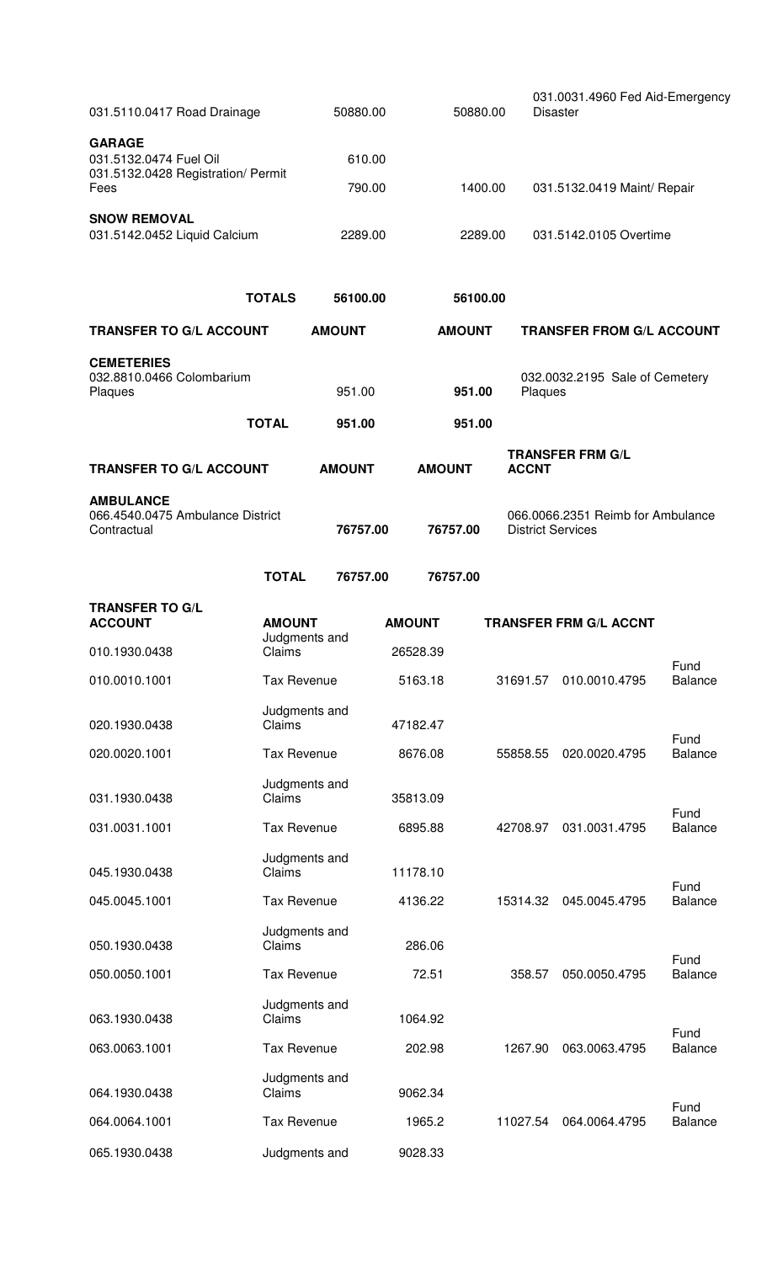| 031.5110.0417 Road Drainage                                                   |                                | 50880.00           |               | 50880.00            |                          | 031.0031.4960 Fed Aid-Emergency<br><b>Disaster</b> |                        |  |
|-------------------------------------------------------------------------------|--------------------------------|--------------------|---------------|---------------------|--------------------------|----------------------------------------------------|------------------------|--|
| <b>GARAGE</b><br>031.5132.0474 Fuel Oil<br>031.5132.0428 Registration/ Permit |                                | 610.00             |               |                     |                          |                                                    |                        |  |
| Fees                                                                          |                                | 790.00             |               | 1400.00             |                          | 031.5132.0419 Maint/ Repair                        |                        |  |
| <b>SNOW REMOVAL</b><br>031.5142.0452 Liquid Calcium                           |                                | 2289.00            |               | 2289.00             |                          | 031.5142.0105 Overtime                             |                        |  |
|                                                                               | <b>TOTALS</b>                  | 56100.00           |               | 56100.00            |                          |                                                    |                        |  |
| <b>TRANSFER TO G/L ACCOUNT</b>                                                |                                | <b>AMOUNT</b>      |               | <b>AMOUNT</b>       |                          | <b>TRANSFER FROM G/L ACCOUNT</b>                   |                        |  |
| <b>CEMETERIES</b><br>032.8810.0466 Colombarium<br>Plaques                     |                                | 951.00             |               | 951.00              |                          | 032.0032.2195 Sale of Cemetery<br>Plaques          |                        |  |
|                                                                               | <b>TOTAL</b>                   | 951.00             |               | 951.00              |                          |                                                    |                        |  |
| <b>TRANSFER TO G/L ACCOUNT</b>                                                |                                | <b>AMOUNT</b>      | <b>AMOUNT</b> |                     | <b>ACCNT</b>             | <b>TRANSFER FRM G/L</b>                            |                        |  |
| <b>AMBULANCE</b><br>066.4540.0475 Ambulance District<br>Contractual           |                                | 76757.00           |               | 76757.00            | <b>District Services</b> | 066.0066.2351 Reimb for Ambulance                  |                        |  |
|                                                                               | <b>TOTAL</b>                   | 76757.00           |               | 76757.00            |                          |                                                    |                        |  |
| <b>TRANSFER TO G/L</b><br><b>ACCOUNT</b>                                      | <b>AMOUNT</b><br>Judgments and |                    | <b>AMOUNT</b> |                     |                          | <b>TRANSFER FRM G/L ACCNT</b>                      |                        |  |
| 010.1930.0438                                                                 | Claims                         |                    | 26528.39      |                     |                          |                                                    |                        |  |
| 010.0010.1001                                                                 | <b>Tax Revenue</b>             |                    | 5163.18       |                     | 31691.57                 | 010.0010.4795                                      | Fund<br><b>Balance</b> |  |
| 020.1930.0438                                                                 | Judgments and<br>Claims        |                    | 47182.47      |                     |                          |                                                    | Fund                   |  |
| 020.0020.1001                                                                 | <b>Tax Revenue</b>             |                    | 8676.08       |                     | 55858.55                 | 020.0020.4795                                      | <b>Balance</b>         |  |
| 031.1930.0438                                                                 | Judgments and<br>Claims        |                    | 35813.09      |                     |                          |                                                    | Fund                   |  |
| 031.0031.1001                                                                 | <b>Tax Revenue</b>             |                    | 6895.88       | 42708.97            |                          | 031.0031.4795                                      | <b>Balance</b>         |  |
| 045.1930.0438                                                                 | Judgments and<br>Claims        |                    | 11178.10      |                     |                          |                                                    | Fund                   |  |
| 045.0045.1001                                                                 |                                | <b>Tax Revenue</b> |               | 4136.22<br>15314.32 |                          | 045.0045.4795                                      | <b>Balance</b>         |  |
| 050.1930.0438                                                                 | Claims                         | Judgments and      |               | 286.06              |                          |                                                    | Fund                   |  |
| 050.0050.1001                                                                 |                                | <b>Tax Revenue</b> |               |                     | 358.57                   | 050.0050.4795                                      | <b>Balance</b>         |  |
| 063.1930.0438                                                                 | Claims                         | Judgments and      |               | 1064.92             |                          |                                                    | Fund                   |  |
| 063.0063.1001                                                                 | <b>Tax Revenue</b>             |                    | 202.98        |                     | 1267.90                  | 063.0063.4795                                      | <b>Balance</b>         |  |
| 064.1930.0438                                                                 | Claims                         | Judgments and      |               | 9062.34             |                          |                                                    | Fund                   |  |
| 064.0064.1001                                                                 |                                | <b>Tax Revenue</b> |               | 1965.2              | 11027.54                 | 064.0064.4795                                      | <b>Balance</b>         |  |
| 065.1930.0438                                                                 |                                | Judgments and      |               | 9028.33             |                          |                                                    |                        |  |